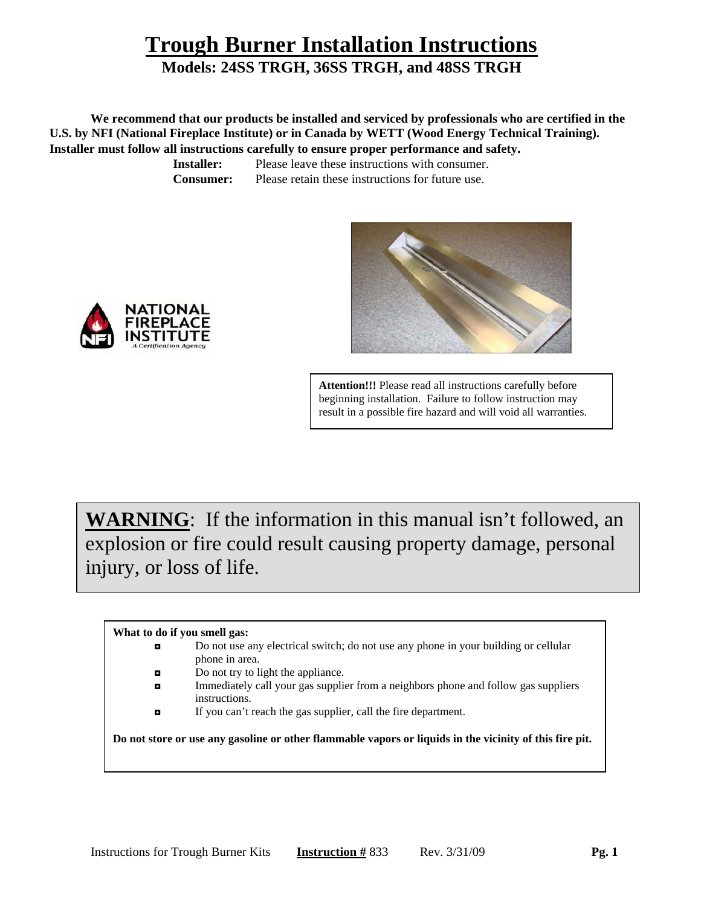## **Trough Burner Installation Instructions**

## **Models: 24SS TRGH, 36SS TRGH, and 48SS TRGH**

 **We recommend that our products be installed and serviced by professionals who are certified in the U.S. by NFI (National Fireplace Institute) or in Canada by WETT (Wood Energy Technical Training).** 

**Installer must follow all instructions carefully to ensure proper performance and safety. Installer:** Please leave these instructions with consumer.

**Consumer:** Please retain these instructions for future use.







NATIONAI

**WARNING**: If the information in this manual isn't followed, an explosion or fire could result causing property damage, personal injury, or loss of life.

#### **What to do if you smell gas:**

- ◘ Do not use any electrical switch; do not use any phone in your building or cellular phone in area.
- □ Do not try to light the appliance.
- ◘ Immediately call your gas supplier from a neighbors phone and follow gas suppliers instructions.
- ◘ If you can't reach the gas supplier, call the fire department.

**Do not store or use any gasoline or other flammable vapors or liquids in the vicinity of this fire pit.**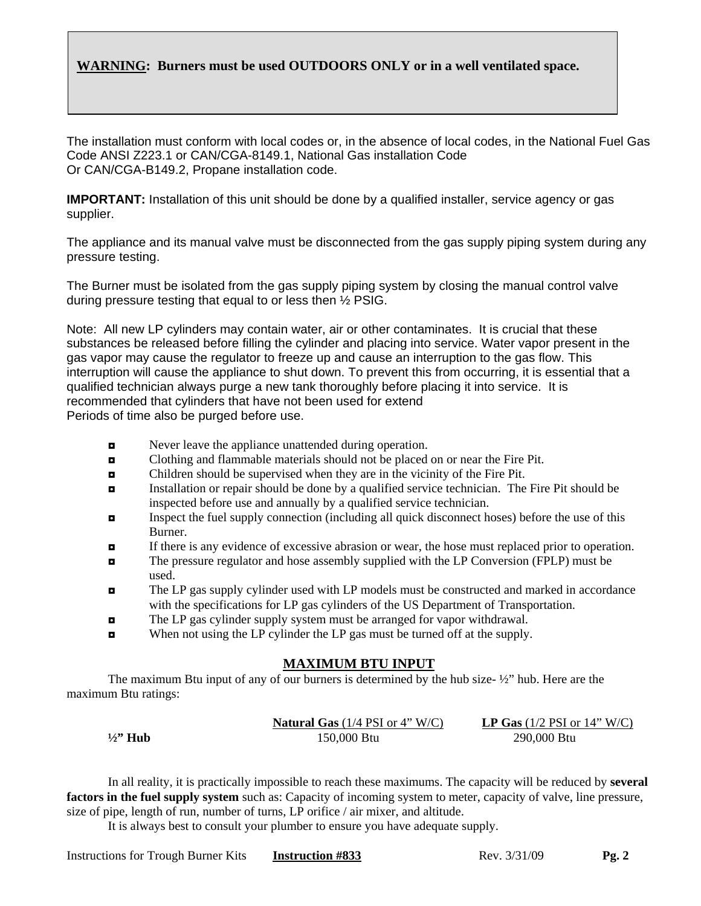### **WARNING: Burners must be used OUTDOORS ONLY or in a well ventilated space.**

The installation must conform with local codes or, in the absence of local codes, in the National Fuel Gas Code ANSI Z223.1 or CAN/CGA-8149.1, National Gas installation Code Or CAN/CGA-B149.2, Propane installation code.

**IMPORTANT:** Installation of this unit should be done by a qualified installer, service agency or gas supplier.

The appliance and its manual valve must be disconnected from the gas supply piping system during any pressure testing.

The Burner must be isolated from the gas supply piping system by closing the manual control valve during pressure testing that equal to or less then ½ PSIG.

Note: All new LP cylinders may contain water, air or other contaminates. It is crucial that these substances be released before filling the cylinder and placing into service. Water vapor present in the gas vapor may cause the regulator to freeze up and cause an interruption to the gas flow. This interruption will cause the appliance to shut down. To prevent this from occurring, it is essential that a qualified technician always purge a new tank thoroughly before placing it into service. It is recommended that cylinders that have not been used for extend Periods of time also be purged before use.

- $\blacksquare$  Never leave the appliance unattended during operation.
- ◘ Clothing and flammable materials should not be placed on or near the Fire Pit.
- ◘ Children should be supervised when they are in the vicinity of the Fire Pit.
- ◘ Installation or repair should be done by a qualified service technician. The Fire Pit should be inspected before use and annually by a qualified service technician.
- $\blacksquare$  Inspect the fuel supply connection (including all quick disconnect hoses) before the use of this Burner.
- ◘ If there is any evidence of excessive abrasion or wear, the hose must replaced prior to operation.
- ◘ The pressure regulator and hose assembly supplied with the LP Conversion (FPLP) must be used.
- ◘ The LP gas supply cylinder used with LP models must be constructed and marked in accordance with the specifications for LP gas cylinders of the US Department of Transportation.
- ◘ The LP gas cylinder supply system must be arranged for vapor withdrawal.
- ◘ When not using the LP cylinder the LP gas must be turned off at the supply.

### **MAXIMUM BTU INPUT**

The maximum Btu input of any of our burners is determined by the hub size- $\frac{1}{2}$ " hub. Here are the maximum Btu ratings:

|                   | <b>Natural Gas</b> $(1/4$ PSI or 4" W/C) | <b>LP Gas</b> $(1/2 \text{ PSI or } 14$ " W/C) |
|-------------------|------------------------------------------|------------------------------------------------|
| $\frac{1}{2}$ Hub | 150,000 Btu                              | 290,000 Btu                                    |

 In all reality, it is practically impossible to reach these maximums. The capacity will be reduced by **several factors in the fuel supply system** such as: Capacity of incoming system to meter, capacity of valve, line pressure, size of pipe, length of run, number of turns, LP orifice / air mixer, and altitude.

It is always best to consult your plumber to ensure you have adequate supply.

Instructions for Trough Burner Kits **Instruction #833** Rev. 3/31/09 **Pg. 2**